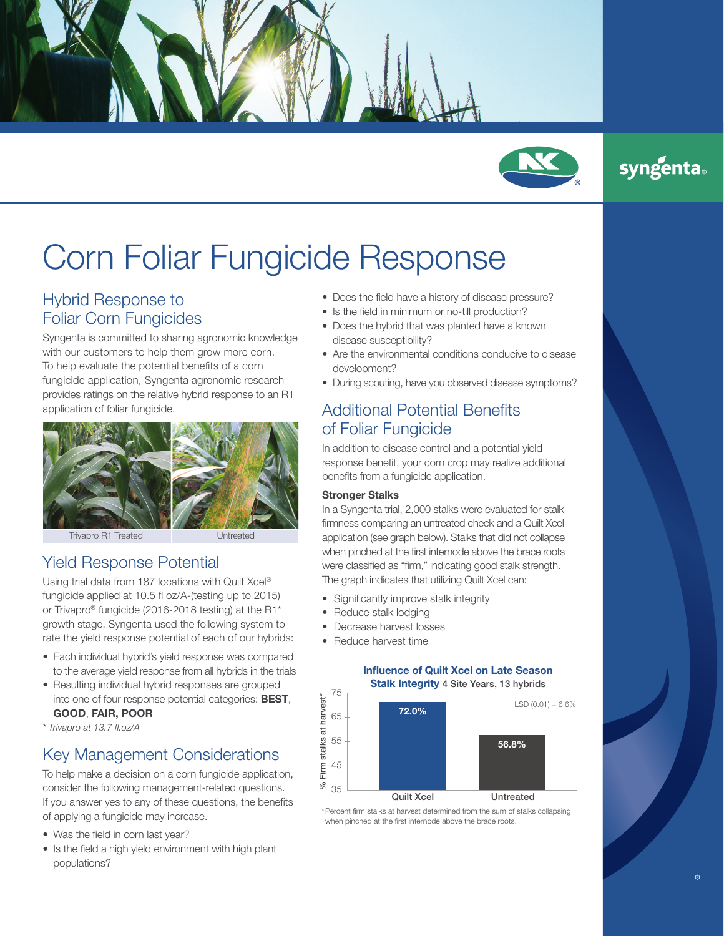

# Corn Foliar Fungicide Response

## Hybrid Response to Foliar Corn Fungicides

Syngenta is committed to sharing agronomic knowledge with our customers to help them grow more corn. To help evaluate the potential benefits of a corn fungicide application, Syngenta agronomic research provides ratings on the relative hybrid response to an R1 application of foliar fungicide.



Trivapro R1 Treated Untreated

## Yield Response Potential

Using trial data from 187 locations with Quilt Xcel® fungicide applied at 10.5 fl oz/A-(testing up to 2015) or Trivapro® fungicide (2016-2018 testing) at the R1\* growth stage, Syngenta used the following system to rate the yield response potential of each of our hybrids:

- Each individual hybrid's yield response was compared to the average yield response from all hybrids in the trials
- Resulting individual hybrid responses are grouped into one of four response potential categories: BEST, GOOD, FAIR, POOR

\* Trivapro at 13.7 fl.oz/A

# Key Management Considerations

To help make a decision on a corn fungicide application, consider the following management-related questions. If you answer yes to any of these questions, the benefits of applying a fungicide may increase.

- Was the field in corn last year?
- Is the field a high yield environment with high plant populations?
- Does the field have a history of disease pressure?
- Is the field in minimum or no-till production?
- Does the hybrid that was planted have a known disease susceptibility?
- Are the environmental conditions conducive to disease development?
- During scouting, have you observed disease symptoms?

### Additional Potential Benefits of Foliar Fungicide

In addition to disease control and a potential yield response benefit, your corn crop may realize additional benefits from a fungicide application.

#### Stronger Stalks

In a Syngenta trial, 2,000 stalks were evaluated for stalk firmness comparing an untreated check and a Quilt Xcel application (see graph below). Stalks that did not collapse when pinched at the first internode above the brace roots were classified as "firm," indicating good stalk strength. The graph indicates that utilizing Quilt Xcel can:

- Significantly improve stalk integrity
- Reduce stalk lodging
- Decrease harvest losses
- Reduce harvest time

#### Influence of Quilt Xcel on Late Season Stalk Integrity 4 Site Years, 13 hybrids



\*Percent firm stalks at harvest determined from the sum of stalks collapsing when pinched at the first internode above the brace roots.